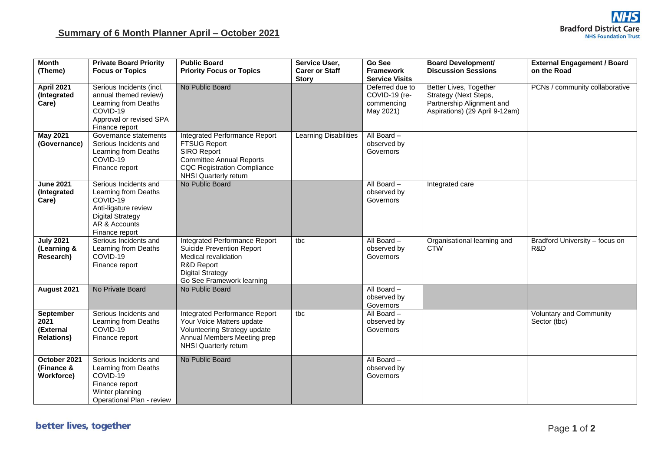| <b>Month</b>                                        | <b>Private Board Priority</b>                                                                                                                   | <b>Public Board</b>                                                                                                                                                          | Service User,                         | Go See                                                      | <b>Board Development/</b>                                                                                      | <b>External Engagement / Board</b>             |
|-----------------------------------------------------|-------------------------------------------------------------------------------------------------------------------------------------------------|------------------------------------------------------------------------------------------------------------------------------------------------------------------------------|---------------------------------------|-------------------------------------------------------------|----------------------------------------------------------------------------------------------------------------|------------------------------------------------|
| (Theme)                                             | <b>Focus or Topics</b>                                                                                                                          | <b>Priority Focus or Topics</b>                                                                                                                                              | <b>Carer or Staff</b><br><b>Story</b> | <b>Framework</b><br><b>Service Visits</b>                   | <b>Discussion Sessions</b>                                                                                     | on the Road                                    |
| <b>April 2021</b><br>(Integrated<br>Care)           | Serious Incidents (incl.<br>annual themed review)<br>Learning from Deaths<br>COVID-19<br>Approval or revised SPA<br>Finance report              | No Public Board                                                                                                                                                              |                                       | Deferred due to<br>COVID-19 (re-<br>commencing<br>May 2021) | Better Lives, Together<br>Strategy (Next Steps,<br>Partnership Alignment and<br>Aspirations) (29 April 9-12am) | PCNs / community collaborative                 |
| <b>May 2021</b><br>(Governance)                     | Governance statements<br>Serious Incidents and<br>Learning from Deaths<br>COVID-19<br>Finance report                                            | Integrated Performance Report<br><b>FTSUG Report</b><br>SIRO Report<br><b>Committee Annual Reports</b><br><b>CQC Registration Compliance</b><br><b>NHSI Quarterly return</b> | Learning Disabilities                 | All Board -<br>observed by<br>Governors                     |                                                                                                                |                                                |
| <b>June 2021</b><br>(Integrated<br>Care)            | Serious Incidents and<br>Learning from Deaths<br>COVID-19<br>Anti-ligature review<br><b>Digital Strategy</b><br>AR & Accounts<br>Finance report | No Public Board                                                                                                                                                              |                                       | All Board -<br>observed by<br>Governors                     | Integrated care                                                                                                |                                                |
| <b>July 2021</b><br>(Learning &<br>Research)        | Serious Incidents and<br>Learning from Deaths<br>COVID-19<br>Finance report                                                                     | <b>Integrated Performance Report</b><br><b>Suicide Prevention Report</b><br>Medical revalidation<br>R&D Report<br><b>Digital Strategy</b><br>Go See Framework learning       | tbc                                   | All Board -<br>observed by<br>Governors                     | Organisational learning and<br><b>CTW</b>                                                                      | Bradford University - focus on<br>R&D          |
| August 2021                                         | No Private Board                                                                                                                                | No Public Board                                                                                                                                                              |                                       | All Board -<br>observed by<br>Governors                     |                                                                                                                |                                                |
| September<br>2021<br>(External<br><b>Relations)</b> | Serious Incidents and<br>Learning from Deaths<br>COVID-19<br>Finance report                                                                     | Integrated Performance Report<br>Your Voice Matters update<br>Volunteering Strategy update<br>Annual Members Meeting prep<br><b>NHSI Quarterly return</b>                    | tbc                                   | All Board -<br>observed by<br>Governors                     |                                                                                                                | <b>Voluntary and Community</b><br>Sector (tbc) |
| October 2021<br>(Finance &<br><b>Workforce)</b>     | Serious Incidents and<br>Learning from Deaths<br>COVID-19<br>Finance report<br>Winter planning<br>Operational Plan - review                     | No Public Board                                                                                                                                                              |                                       | All Board -<br>observed by<br>Governors                     |                                                                                                                |                                                |